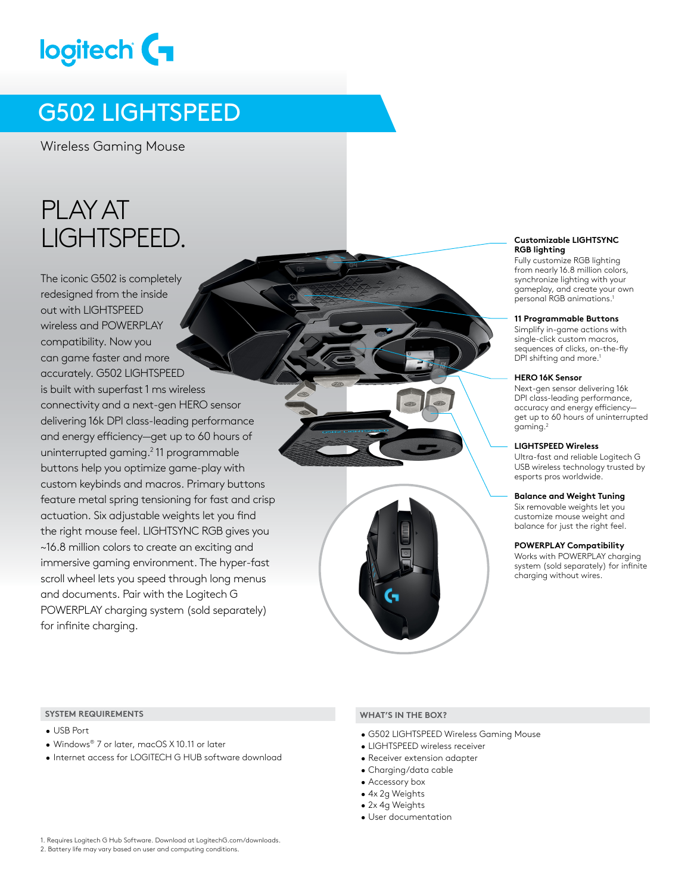# logitech (

### G502 LIGHTSPEED

Wireless Gaming Mouse

# PLAY AT LIGHTSPEED.

The iconic G502 is completely redesigned from the inside out with LIGHTSPEED wireless and POWERPLAY compatibility. Now you can game faster and more accurately. G502 LIGHTSPEED is built with superfast 1 ms wireless connectivity and a next-gen HERO sensor delivering 16k DPI class-leading performance and energy efficiency—get up to 60 hours of uninterrupted gaming.<sup>2</sup> 11 programmable buttons help you optimize game-play with custom keybinds and macros. Primary buttons feature metal spring tensioning for fast and crisp actuation. Six adjustable weights let you find the right mouse feel. LIGHTSYNC RGB gives you ~16.8 million colors to create an exciting and immersive gaming environment. The hyper-fast scroll wheel lets you speed through long menus and documents. Pair with the Logitech G POWERPLAY charging system (sold separately) for infinite charging.

#### **Customizable LIGHTSYNC RGB lighting**

Fully customize RGB lighting from nearly 16.8 million colors, synchronize lighting with your gameplay, and create your own personal RGB animations.1

#### **11 Programmable Buttons**

Simplify in-game actions with single-click custom macros, sequences of clicks, on-the-fly DPI shifting and more.<sup>1</sup>

#### **HERO 16K Sensor**

Next-gen sensor delivering 16k DPI class-leading performance, accuracy and energy efficiency get up to 60 hours of uninterrupted gaming.2

#### **LIGHTSPEED Wireless**

Ultra-fast and reliable Logitech G USB wireless technology trusted by esports pros worldwide.

#### **Balance and Weight Tuning**

Six removable weights let you customize mouse weight and balance for just the right feel.

#### **POWERPLAY Compatibility**

Works with POWERPLAY charging system (sold separately) for infinite charging without wires.

#### **SYSTEM REQUIREMENTS WHAT'S IN THE BOX?**

- USB Port
- Windows® 7 or later, macOS X 10.11 or later
- Internet access for LOGITECH G HUB software download

- G502 LIGHTSPEED Wireless Gaming Mouse
- LIGHTSPEED wireless receiver
- Receiver extension adapter
- Charging/data cable
- Accessory box
- 4x 2g Weights
- 2x 4g Weights
- User documentation

1. Requires Logitech G Hub Software. Download at LogitechG.com/downloads.

<sup>2.</sup> Battery life may vary based on user and computing conditions.